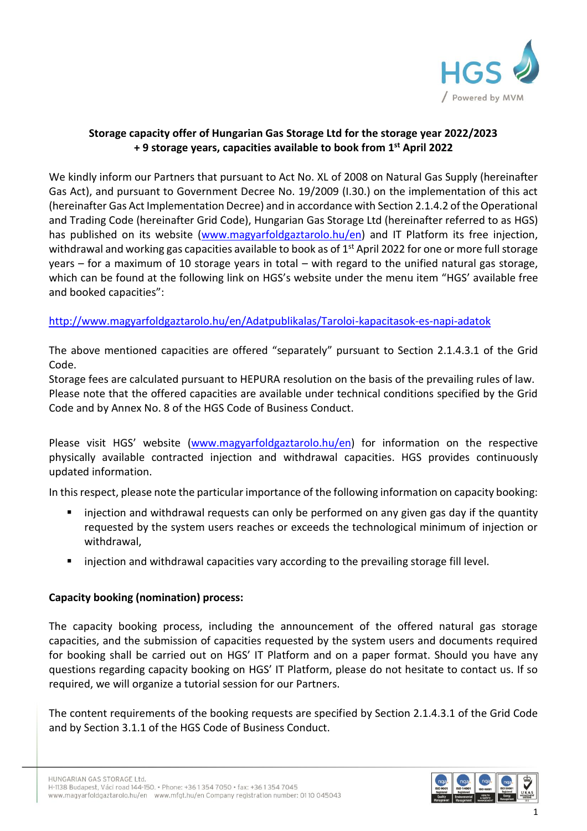

## **Storage capacity offer of Hungarian Gas Storage Ltd for the storage year 2022/2023 + 9 storage years, capacities available to book from 1st April 2022**

We kindly inform our Partners that pursuant to Act No. XL of 2008 on Natural Gas Supply (hereinafter Gas Act), and pursuant to Government Decree No. 19/2009 (I.30.) on the implementation of this act (hereinafter Gas Act Implementation Decree) and in accordance with Section 2.1.4.2 of the Operational and Trading Code (hereinafter Grid Code), Hungarian Gas Storage Ltd (hereinafter referred to as HGS) has published on its website [\(www.magyarfoldgaztarolo.hu/](http://www.magyarfoldgaztarolo.hu/)en) and IT Platform its free injection, withdrawal and working gas capacities available to book as of 1<sup>st</sup> April 2022 for one or more full storage years – for a maximum of 10 storage years in total – with regard to the unified natural gas storage, which can be found at the following link on HGS's website under the menu item "HGS' available free and booked capacities":

## <http://www.magyarfoldgaztarolo.hu/en/Adatpublikalas/Taroloi-kapacitasok-es-napi-adatok>

The above mentioned capacities are offered "separately" pursuant to Section 2.1.4.3.1 of the Grid Code.

Storage fees are calculated pursuant to HEPURA resolution on the basis of the prevailing rules of law. Please note that the offered capacities are available under technical conditions specified by the Grid Code and by Annex No. 8 of the HGS Code of Business Conduct.

Please visit HGS' website [\(www.magyarfoldgaztarolo.hu/](http://www.magyarfoldgaztarolo.hu/)en) for information on the respective physically available contracted injection and withdrawal capacities. HGS provides continuously updated information.

In this respect, please note the particular importance of the following information on capacity booking:

- injection and withdrawal requests can only be performed on any given gas day if the quantity requested by the system users reaches or exceeds the technological minimum of injection or withdrawal,
- **EXECT** injection and withdrawal capacities vary according to the prevailing storage fill level.

## **Capacity booking (nomination) process:**

The capacity booking process, including the announcement of the offered natural gas storage capacities, and the submission of capacities requested by the system users and documents required for booking shall be carried out on HGS' IT Platform and on a paper format. Should you have any questions regarding capacity booking on HGS' IT Platform, please do not hesitate to contact us. If so required, we will organize a tutorial session for our Partners.

The content requirements of the booking requests are specified by Section 2.1.4.3.1 of the Grid Code and by Section 3.1.1 of the HGS Code of Business Conduct.